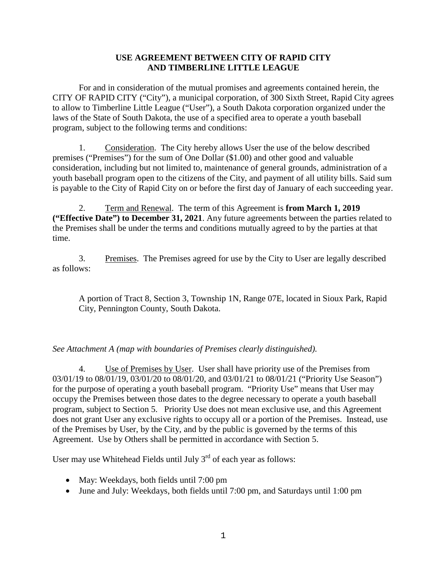## **USE AGREEMENT BETWEEN CITY OF RAPID CITY AND TIMBERLINE LITTLE LEAGUE**

For and in consideration of the mutual promises and agreements contained herein, the CITY OF RAPID CITY ("City"), a municipal corporation, of 300 Sixth Street, Rapid City agrees to allow to Timberline Little League ("User"), a South Dakota corporation organized under the laws of the State of South Dakota, the use of a specified area to operate a youth baseball program, subject to the following terms and conditions:

1. Consideration. The City hereby allows User the use of the below described premises ("Premises") for the sum of One Dollar (\$1.00) and other good and valuable consideration, including but not limited to, maintenance of general grounds, administration of a youth baseball program open to the citizens of the City, and payment of all utility bills. Said sum is payable to the City of Rapid City on or before the first day of January of each succeeding year.

2. Term and Renewal. The term of this Agreement is **from March 1, 2019 ("Effective Date") to December 31, 2021**. Any future agreements between the parties related to the Premises shall be under the terms and conditions mutually agreed to by the parties at that time.

3. Premises. The Premises agreed for use by the City to User are legally described as follows:

A portion of Tract 8, Section 3, Township 1N, Range 07E, located in Sioux Park, Rapid City, Pennington County, South Dakota.

## *See Attachment A (map with boundaries of Premises clearly distinguished).*

4. Use of Premises by User. User shall have priority use of the Premises from 03/01/19 to 08/01/19, 03/01/20 to 08/01/20, and 03/01/21 to 08/01/21 ("Priority Use Season") for the purpose of operating a youth baseball program. "Priority Use" means that User may occupy the Premises between those dates to the degree necessary to operate a youth baseball program, subject to Section 5. Priority Use does not mean exclusive use, and this Agreement does not grant User any exclusive rights to occupy all or a portion of the Premises. Instead, use of the Premises by User, by the City, and by the public is governed by the terms of this Agreement. Use by Others shall be permitted in accordance with Section 5.

User may use Whitehead Fields until July  $3<sup>rd</sup>$  of each year as follows:

- May: Weekdays, both fields until 7:00 pm
- June and July: Weekdays, both fields until 7:00 pm, and Saturdays until 1:00 pm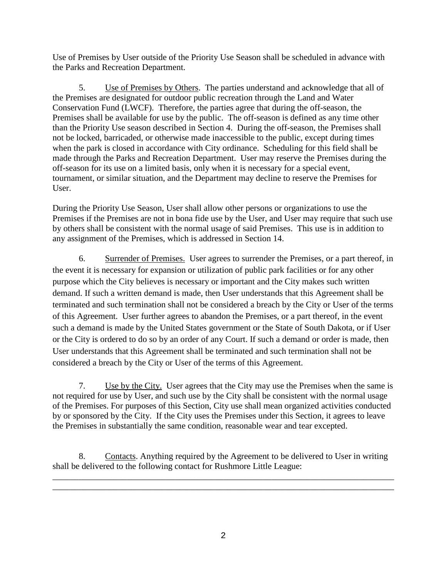Use of Premises by User outside of the Priority Use Season shall be scheduled in advance with the Parks and Recreation Department.

5. Use of Premises by Others. The parties understand and acknowledge that all of the Premises are designated for outdoor public recreation through the Land and Water Conservation Fund (LWCF). Therefore, the parties agree that during the off-season, the Premises shall be available for use by the public. The off-season is defined as any time other than the Priority Use season described in Section 4. During the off-season, the Premises shall not be locked, barricaded, or otherwise made inaccessible to the public, except during times when the park is closed in accordance with City ordinance. Scheduling for this field shall be made through the Parks and Recreation Department. User may reserve the Premises during the off-season for its use on a limited basis, only when it is necessary for a special event, tournament, or similar situation, and the Department may decline to reserve the Premises for User.

During the Priority Use Season, User shall allow other persons or organizations to use the Premises if the Premises are not in bona fide use by the User, and User may require that such use by others shall be consistent with the normal usage of said Premises. This use is in addition to any assignment of the Premises, which is addressed in Section 14.

6. Surrender of Premises. User agrees to surrender the Premises, or a part thereof, in the event it is necessary for expansion or utilization of public park facilities or for any other purpose which the City believes is necessary or important and the City makes such written demand. If such a written demand is made, then User understands that this Agreement shall be terminated and such termination shall not be considered a breach by the City or User of the terms of this Agreement. User further agrees to abandon the Premises, or a part thereof, in the event such a demand is made by the United States government or the State of South Dakota, or if User or the City is ordered to do so by an order of any Court. If such a demand or order is made, then User understands that this Agreement shall be terminated and such termination shall not be considered a breach by the City or User of the terms of this Agreement.

7. Use by the City. User agrees that the City may use the Premises when the same is not required for use by User, and such use by the City shall be consistent with the normal usage of the Premises. For purposes of this Section, City use shall mean organized activities conducted by or sponsored by the City. If the City uses the Premises under this Section, it agrees to leave the Premises in substantially the same condition, reasonable wear and tear excepted.

8. Contacts. Anything required by the Agreement to be delivered to User in writing shall be delivered to the following contact for Rushmore Little League:

\_\_\_\_\_\_\_\_\_\_\_\_\_\_\_\_\_\_\_\_\_\_\_\_\_\_\_\_\_\_\_\_\_\_\_\_\_\_\_\_\_\_\_\_\_\_\_\_\_\_\_\_\_\_\_\_\_\_\_\_\_\_\_\_\_\_\_\_\_\_\_\_\_\_\_\_\_\_ \_\_\_\_\_\_\_\_\_\_\_\_\_\_\_\_\_\_\_\_\_\_\_\_\_\_\_\_\_\_\_\_\_\_\_\_\_\_\_\_\_\_\_\_\_\_\_\_\_\_\_\_\_\_\_\_\_\_\_\_\_\_\_\_\_\_\_\_\_\_\_\_\_\_\_\_\_\_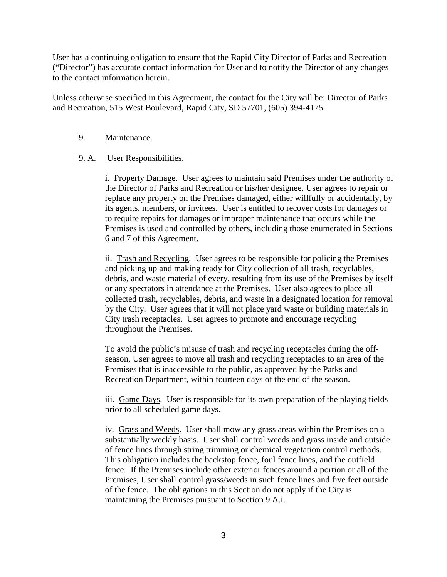User has a continuing obligation to ensure that the Rapid City Director of Parks and Recreation ("Director") has accurate contact information for User and to notify the Director of any changes to the contact information herein.

Unless otherwise specified in this Agreement, the contact for the City will be: Director of Parks and Recreation, 515 West Boulevard, Rapid City, SD 57701, (605) 394-4175.

#### 9. Maintenance.

## 9. A. User Responsibilities.

i. Property Damage. User agrees to maintain said Premises under the authority of the Director of Parks and Recreation or his/her designee. User agrees to repair or replace any property on the Premises damaged, either willfully or accidentally, by its agents, members, or invitees. User is entitled to recover costs for damages or to require repairs for damages or improper maintenance that occurs while the Premises is used and controlled by others, including those enumerated in Sections 6 and 7 of this Agreement.

ii. Trash and Recycling. User agrees to be responsible for policing the Premises and picking up and making ready for City collection of all trash, recyclables, debris, and waste material of every, resulting from its use of the Premises by itself or any spectators in attendance at the Premises. User also agrees to place all collected trash, recyclables, debris, and waste in a designated location for removal by the City. User agrees that it will not place yard waste or building materials in City trash receptacles. User agrees to promote and encourage recycling throughout the Premises.

To avoid the public's misuse of trash and recycling receptacles during the offseason, User agrees to move all trash and recycling receptacles to an area of the Premises that is inaccessible to the public, as approved by the Parks and Recreation Department, within fourteen days of the end of the season.

iii. Game Days. User is responsible for its own preparation of the playing fields prior to all scheduled game days.

iv. Grass and Weeds. User shall mow any grass areas within the Premises on a substantially weekly basis. User shall control weeds and grass inside and outside of fence lines through string trimming or chemical vegetation control methods. This obligation includes the backstop fence, foul fence lines, and the outfield fence. If the Premises include other exterior fences around a portion or all of the Premises, User shall control grass/weeds in such fence lines and five feet outside of the fence. The obligations in this Section do not apply if the City is maintaining the Premises pursuant to Section 9.A.i.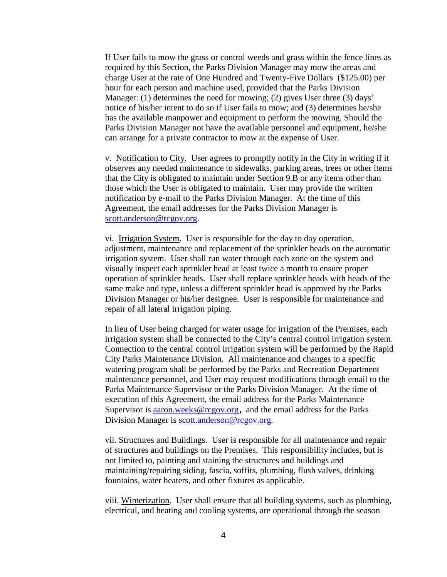If User fails to mow the grass or control weeds and grass within the fence lines as required by this Section, the Parks Division Manager may mow the areas and charge User at the rate of One Hundred and Twenty-Five Dollars (\$125.00) per hour for each person and machine used, provided that the Parks Division Manager: (1) determines the need for mowing; (2) gives User three (3) days' notice of his/her intent to do so if User fails to mow; and (3) determines he/she has the available manpower and equipment to perform the mowing. Should the Parks Division Manager not have the available personnel and equipment, he/she can arrange for a private contractor to mow at the expense of User.

v. Notification to City. User agrees to promptly notify in the City in writing if it observes any needed maintenance to sidewalks, parking areas, trees or other items that the City is obligated to maintain under Section 9.B or any items other than those which the User is obligated to maintain. User may provide the written notification by e-mail to the Parks Division Manager. At the time of this Agreement, the email addresses for the Parks Division Manager is [scott.anderson@rcgov.org.](mailto:scott.anderson@rcgov.org)

vi. Irrigation System. User is responsible for the day to day operation, adjustment, maintenance and replacement of the sprinkler heads on the automatic irrigation system. User shall run water through each zone on the system and visually inspect each sprinkler head at least twice a month to ensure proper operation of sprinkler heads. User shall replace sprinkler heads with heads of the same make and type, unless a different sprinkler head is approved by the Parks Division Manager or his/her designee. User is responsible for maintenance and repair of all lateral irrigation piping.

In lieu of User being charged for water usage for irrigation of the Premises, each irrigation system shall be connected to the City's central control irrigation system. Connection to the central control irrigation system will be performed by the Rapid City Parks Maintenance Division. All maintenance and changes to a specific watering program shall be performed by the Parks and Recreation Department maintenance personnel, and User may request modifications through email to the Parks Maintenance Supervisor or the Parks Division Manager. At the time of execution of this Agreement, the email address for the Parks Maintenance Supervisor is [aaron.weeks@rcgov.org](mailto:aaron.weeks@rcgov.org), and the email address for the Parks Division Manager is [scott.anderson@rcgov.org.](mailto:scott.anderson@rcgov.org)

vii. Structures and Buildings. User is responsible for all maintenance and repair of structures and buildings on the Premises. This responsibility includes, but is not limited to, painting and staining the structures and buildings and maintaining/repairing siding, fascia, soffits, plumbing, flush valves, drinking fountains, water heaters, and other fixtures as applicable.

viii. Winterization. User shall ensure that all building systems, such as plumbing, electrical, and heating and cooling systems, are operational through the season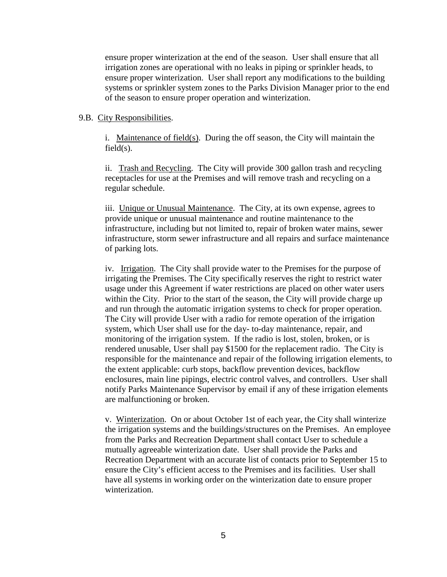ensure proper winterization at the end of the season. User shall ensure that all irrigation zones are operational with no leaks in piping or sprinkler heads, to ensure proper winterization. User shall report any modifications to the building systems or sprinkler system zones to the Parks Division Manager prior to the end of the season to ensure proper operation and winterization.

#### 9.B. City Responsibilities.

i. Maintenance of field(s). During the off season, the City will maintain the  $field(s)$ .

ii. Trash and Recycling. The City will provide 300 gallon trash and recycling receptacles for use at the Premises and will remove trash and recycling on a regular schedule.

iii. Unique or Unusual Maintenance. The City, at its own expense, agrees to provide unique or unusual maintenance and routine maintenance to the infrastructure, including but not limited to, repair of broken water mains, sewer infrastructure, storm sewer infrastructure and all repairs and surface maintenance of parking lots.

iv. Irrigation. The City shall provide water to the Premises for the purpose of irrigating the Premises. The City specifically reserves the right to restrict water usage under this Agreement if water restrictions are placed on other water users within the City. Prior to the start of the season, the City will provide charge up and run through the automatic irrigation systems to check for proper operation. The City will provide User with a radio for remote operation of the irrigation system, which User shall use for the day- to-day maintenance, repair, and monitoring of the irrigation system. If the radio is lost, stolen, broken, or is rendered unusable, User shall pay \$1500 for the replacement radio. The City is responsible for the maintenance and repair of the following irrigation elements, to the extent applicable: curb stops, backflow prevention devices, backflow enclosures, main line pipings, electric control valves, and controllers. User shall notify Parks Maintenance Supervisor by email if any of these irrigation elements are malfunctioning or broken.

v. Winterization. On or about October 1st of each year, the City shall winterize the irrigation systems and the buildings/structures on the Premises. An employee from the Parks and Recreation Department shall contact User to schedule a mutually agreeable winterization date. User shall provide the Parks and Recreation Department with an accurate list of contacts prior to September 15 to ensure the City's efficient access to the Premises and its facilities. User shall have all systems in working order on the winterization date to ensure proper winterization.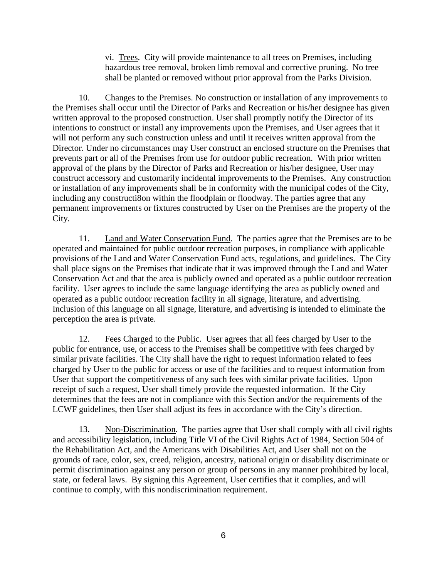vi. Trees. City will provide maintenance to all trees on Premises, including hazardous tree removal, broken limb removal and corrective pruning. No tree shall be planted or removed without prior approval from the Parks Division.

10. Changes to the Premises. No construction or installation of any improvements to the Premises shall occur until the Director of Parks and Recreation or his/her designee has given written approval to the proposed construction. User shall promptly notify the Director of its intentions to construct or install any improvements upon the Premises, and User agrees that it will not perform any such construction unless and until it receives written approval from the Director. Under no circumstances may User construct an enclosed structure on the Premises that prevents part or all of the Premises from use for outdoor public recreation. With prior written approval of the plans by the Director of Parks and Recreation or his/her designee, User may construct accessory and customarily incidental improvements to the Premises. Any construction or installation of any improvements shall be in conformity with the municipal codes of the City, including any constructi8on within the floodplain or floodway. The parties agree that any permanent improvements or fixtures constructed by User on the Premises are the property of the City.

11. Land and Water Conservation Fund. The parties agree that the Premises are to be operated and maintained for public outdoor recreation purposes, in compliance with applicable provisions of the Land and Water Conservation Fund acts, regulations, and guidelines. The City shall place signs on the Premises that indicate that it was improved through the Land and Water Conservation Act and that the area is publicly owned and operated as a public outdoor recreation facility. User agrees to include the same language identifying the area as publicly owned and operated as a public outdoor recreation facility in all signage, literature, and advertising. Inclusion of this language on all signage, literature, and advertising is intended to eliminate the perception the area is private.

12. Fees Charged to the Public. User agrees that all fees charged by User to the public for entrance, use, or access to the Premises shall be competitive with fees charged by similar private facilities. The City shall have the right to request information related to fees charged by User to the public for access or use of the facilities and to request information from User that support the competitiveness of any such fees with similar private facilities. Upon receipt of such a request, User shall timely provide the requested information. If the City determines that the fees are not in compliance with this Section and/or the requirements of the LCWF guidelines, then User shall adjust its fees in accordance with the City's direction.

13. Non-Discrimination. The parties agree that User shall comply with all civil rights and accessibility legislation, including Title VI of the Civil Rights Act of 1984, Section 504 of the Rehabilitation Act, and the Americans with Disabilities Act, and User shall not on the grounds of race, color, sex, creed, religion, ancestry, national origin or disability discriminate or permit discrimination against any person or group of persons in any manner prohibited by local, state, or federal laws. By signing this Agreement, User certifies that it complies, and will continue to comply, with this nondiscrimination requirement.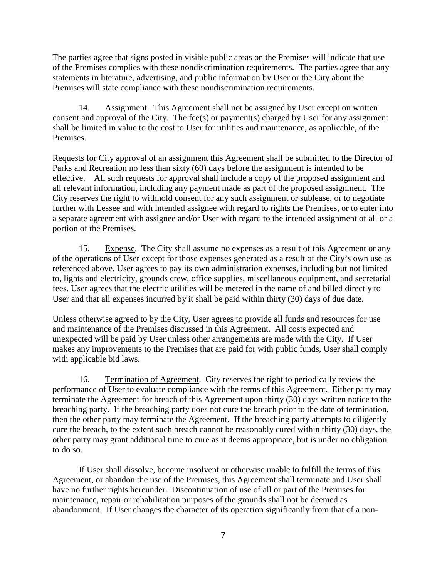The parties agree that signs posted in visible public areas on the Premises will indicate that use of the Premises complies with these nondiscrimination requirements. The parties agree that any statements in literature, advertising, and public information by User or the City about the Premises will state compliance with these nondiscrimination requirements.

14. Assignment. This Agreement shall not be assigned by User except on written consent and approval of the City. The fee(s) or payment(s) charged by User for any assignment shall be limited in value to the cost to User for utilities and maintenance, as applicable, of the Premises.

Requests for City approval of an assignment this Agreement shall be submitted to the Director of Parks and Recreation no less than sixty (60) days before the assignment is intended to be effective. All such requests for approval shall include a copy of the proposed assignment and all relevant information, including any payment made as part of the proposed assignment. The City reserves the right to withhold consent for any such assignment or sublease, or to negotiate further with Lessee and with intended assignee with regard to rights the Premises, or to enter into a separate agreement with assignee and/or User with regard to the intended assignment of all or a portion of the Premises.

15. Expense. The City shall assume no expenses as a result of this Agreement or any of the operations of User except for those expenses generated as a result of the City's own use as referenced above. User agrees to pay its own administration expenses, including but not limited to, lights and electricity, grounds crew, office supplies, miscellaneous equipment, and secretarial fees. User agrees that the electric utilities will be metered in the name of and billed directly to User and that all expenses incurred by it shall be paid within thirty (30) days of due date.

Unless otherwise agreed to by the City, User agrees to provide all funds and resources for use and maintenance of the Premises discussed in this Agreement. All costs expected and unexpected will be paid by User unless other arrangements are made with the City. If User makes any improvements to the Premises that are paid for with public funds, User shall comply with applicable bid laws.

16. Termination of Agreement. City reserves the right to periodically review the performance of User to evaluate compliance with the terms of this Agreement. Either party may terminate the Agreement for breach of this Agreement upon thirty (30) days written notice to the breaching party. If the breaching party does not cure the breach prior to the date of termination, then the other party may terminate the Agreement. If the breaching party attempts to diligently cure the breach, to the extent such breach cannot be reasonably cured within thirty (30) days, the other party may grant additional time to cure as it deems appropriate, but is under no obligation to do so.

If User shall dissolve, become insolvent or otherwise unable to fulfill the terms of this Agreement, or abandon the use of the Premises, this Agreement shall terminate and User shall have no further rights hereunder. Discontinuation of use of all or part of the Premises for maintenance, repair or rehabilitation purposes of the grounds shall not be deemed as abandonment. If User changes the character of its operation significantly from that of a non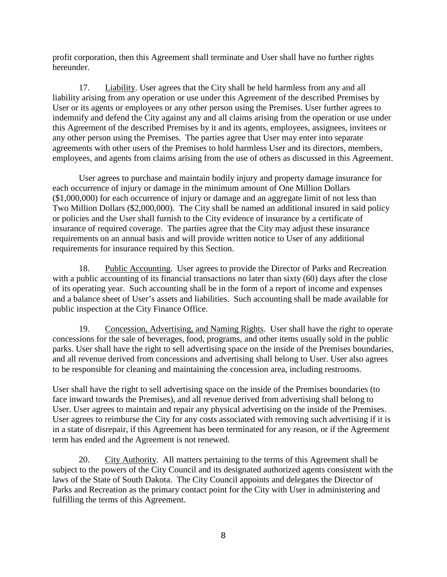profit corporation, then this Agreement shall terminate and User shall have no further rights hereunder.

17. Liability. User agrees that the City shall be held harmless from any and all liability arising from any operation or use under this Agreement of the described Premises by User or its agents or employees or any other person using the Premises. User further agrees to indemnify and defend the City against any and all claims arising from the operation or use under this Agreement of the described Premises by it and its agents, employees, assignees, invitees or any other person using the Premises. The parties agree that User may enter into separate agreements with other users of the Premises to hold harmless User and its directors, members, employees, and agents from claims arising from the use of others as discussed in this Agreement.

User agrees to purchase and maintain bodily injury and property damage insurance for each occurrence of injury or damage in the minimum amount of One Million Dollars (\$1,000,000) for each occurrence of injury or damage and an aggregate limit of not less than Two Million Dollars (\$2,000,000). The City shall be named an additional insured in said policy or policies and the User shall furnish to the City evidence of insurance by a certificate of insurance of required coverage. The parties agree that the City may adjust these insurance requirements on an annual basis and will provide written notice to User of any additional requirements for insurance required by this Section.

18. Public Accounting. User agrees to provide the Director of Parks and Recreation with a public accounting of its financial transactions no later than sixty (60) days after the close of its operating year. Such accounting shall be in the form of a report of income and expenses and a balance sheet of User's assets and liabilities. Such accounting shall be made available for public inspection at the City Finance Office.

19. Concession, Advertising, and Naming Rights. User shall have the right to operate concessions for the sale of beverages, food, programs, and other items usually sold in the public parks. User shall have the right to sell advertising space on the inside of the Premises boundaries, and all revenue derived from concessions and advertising shall belong to User. User also agrees to be responsible for cleaning and maintaining the concession area, including restrooms.

User shall have the right to sell advertising space on the inside of the Premises boundaries (to face inward towards the Premises), and all revenue derived from advertising shall belong to User. User agrees to maintain and repair any physical advertising on the inside of the Premises. User agrees to reimburse the City for any costs associated with removing such advertising if it is in a state of disrepair, if this Agreement has been terminated for any reason, or if the Agreement term has ended and the Agreement is not renewed.

20. City Authority. All matters pertaining to the terms of this Agreement shall be subject to the powers of the City Council and its designated authorized agents consistent with the laws of the State of South Dakota. The City Council appoints and delegates the Director of Parks and Recreation as the primary contact point for the City with User in administering and fulfilling the terms of this Agreement.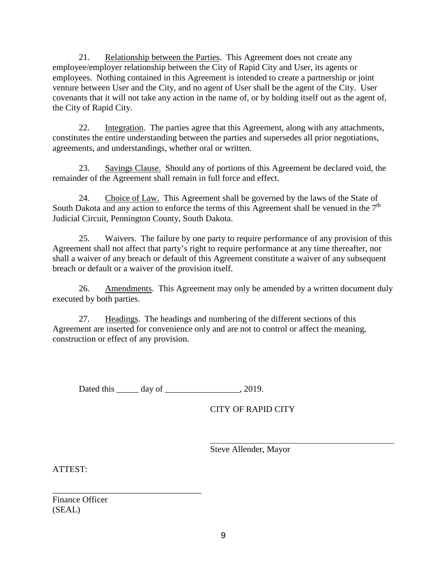21. Relationship between the Parties. This Agreement does not create any employee/employer relationship between the City of Rapid City and User, its agents or employees. Nothing contained in this Agreement is intended to create a partnership or joint venture between User and the City, and no agent of User shall be the agent of the City. User covenants that it will not take any action in the name of, or by holding itself out as the agent of, the City of Rapid City.

22. Integration. The parties agree that this Agreement, along with any attachments, constitutes the entire understanding between the parties and supersedes all prior negotiations, agreements, and understandings, whether oral or written.

23. Savings Clause. Should any of portions of this Agreement be declared void, the remainder of the Agreement shall remain in full force and effect.

24. Choice of Law. This Agreement shall be governed by the laws of the State of South Dakota and any action to enforce the terms of this Agreement shall be venued in the  $7<sup>th</sup>$ Judicial Circuit, Pennington County, South Dakota.

25. Waivers. The failure by one party to require performance of any provision of this Agreement shall not affect that party's right to require performance at any time thereafter, nor shall a waiver of any breach or default of this Agreement constitute a waiver of any subsequent breach or default or a waiver of the provision itself.

26. Amendments. This Agreement may only be amended by a written document duly executed by both parties.

27. Headings. The headings and numbering of the different sections of this Agreement are inserted for convenience only and are not to control or affect the meaning, construction or effect of any provision.

Dated this day of 2019.

CITY OF RAPID CITY

Steve Allender, Mayor

ATTEST:

Finance Officer (SEAL)

\_\_\_\_\_\_\_\_\_\_\_\_\_\_\_\_\_\_\_\_\_\_\_\_\_\_\_\_\_\_\_\_\_\_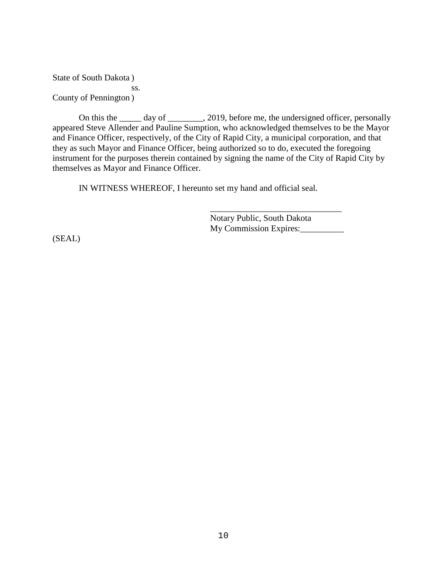State of South Dakota ) ss. County of Pennington )

On this the \_\_\_\_\_ day of \_\_\_\_\_\_\_, 2019, before me, the undersigned officer, personally appeared Steve Allender and Pauline Sumption, who acknowledged themselves to be the Mayor and Finance Officer, respectively, of the City of Rapid City, a municipal corporation, and that they as such Mayor and Finance Officer, being authorized so to do, executed the foregoing instrument for the purposes therein contained by signing the name of the City of Rapid City by themselves as Mayor and Finance Officer.

IN WITNESS WHEREOF, I hereunto set my hand and official seal.

Notary Public, South Dakota My Commission Expires:

\_\_\_\_\_\_\_\_\_\_\_\_\_\_\_\_\_\_\_\_\_\_\_\_\_\_\_\_\_\_

(SEAL)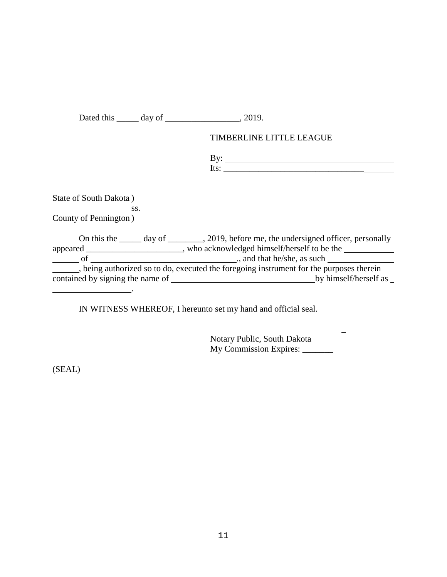Dated this \_\_\_\_\_ day of \_\_\_\_\_\_\_\_\_\_\_\_\_\_\_\_, 2019.

# TIMBERLINE LITTLE LEAGUE

| . . |  |
|-----|--|
| . . |  |

State of South Dakota )

ss. County of Pennington )

| On this the                                                                           | day of | , 2019, before me, the undersigned officer, personally |
|---------------------------------------------------------------------------------------|--------|--------------------------------------------------------|
| appeared _                                                                            |        | who acknowledged himself/herself to be the             |
| ΩŤ                                                                                    |        | ., and that he/she, as such                            |
| being authorized so to do, executed the foregoing instrument for the purposes therein |        |                                                        |
| contained by signing the name of                                                      |        | by himself/herself as                                  |
|                                                                                       |        |                                                        |

IN WITNESS WHEREOF, I hereunto set my hand and official seal.

Notary Public, South Dakota My Commission Expires: \_\_\_\_\_\_\_ \_

(SEAL)